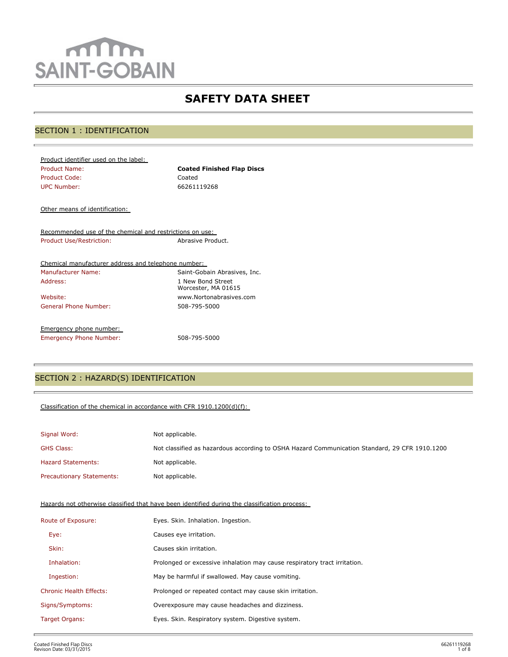# mm **SAINT-GOBAIN**

## **SAFETY DATA SHEET**

## SECTION 1 : IDENTIFICATION

| <b>Coated Finished Flap Discs</b> |
|-----------------------------------|
| Coated                            |
| 66261119268                       |
|                                   |

Other means of identification:

Recommended use of the chemical and restrictions on use: Product Use/Restriction: Abrasive Product.

| Chemical manufacturer address and telephone number: |                                          |
|-----------------------------------------------------|------------------------------------------|
| Manufacturer Name:                                  | Saint-Gobain Abrasives, Inc.             |
| Address:                                            | 1 New Bond Street<br>Worcester, MA 01615 |
| Website:                                            | www.Nortonabrasives.com                  |
| General Phone Number:                               | 508-795-5000                             |
| Emergency phone number:                             |                                          |
| <b>Emergency Phone Number:</b>                      | 508-795-5000                             |

## SECTION 2 : HAZARD(S) IDENTIFICATION

#### Classification of the chemical in accordance with CFR 1910.1200(d)(f):

| Signal Word:                     | Not applicable.                                                                               |
|----------------------------------|-----------------------------------------------------------------------------------------------|
| <b>GHS Class:</b>                | Not classified as hazardous according to OSHA Hazard Communication Standard, 29 CFR 1910.1200 |
| <b>Hazard Statements:</b>        | Not applicable.                                                                               |
| <b>Precautionary Statements:</b> | Not applicable.                                                                               |

Hazards not otherwise classified that have been identified during the classification process:

| Route of Exposure:             | Eyes. Skin. Inhalation. Ingestion.                                        |
|--------------------------------|---------------------------------------------------------------------------|
| Eye:                           | Causes eye irritation.                                                    |
| Skin:                          | Causes skin irritation.                                                   |
| Inhalation:                    | Prolonged or excessive inhalation may cause respiratory tract irritation. |
| Ingestion:                     | May be harmful if swallowed. May cause vomiting.                          |
| <b>Chronic Health Effects:</b> | Prolonged or repeated contact may cause skin irritation.                  |
| Signs/Symptoms:                | Overexposure may cause headaches and dizziness.                           |
| Target Organs:                 | Eyes. Skin. Respiratory system. Digestive system.                         |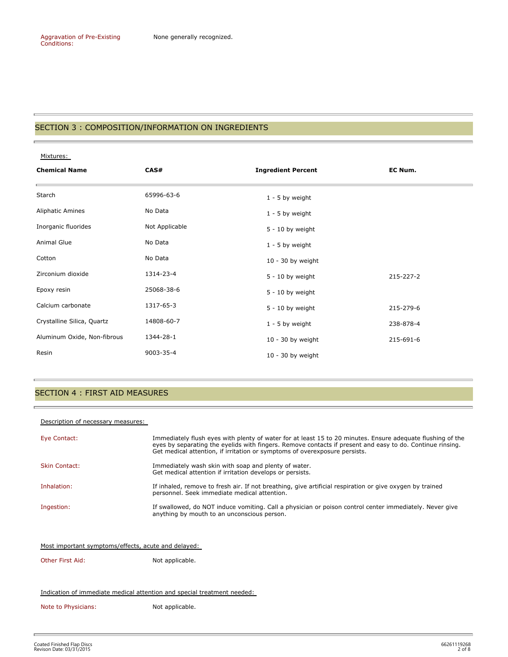#### SECTION 3 : COMPOSITION/INFORMATION ON INGREDIENTS

Mixtures: **Chemical Name CAS# Ingredient Percent EC Num.**  Starch 65996-63-6 1 - 5 by weight Aliphatic Amines **No Data No Data 1 - 5 by weight** Inorganic fluorides Not Applicable 5 - 10 by weight Animal Glue No Data **No Data** 1 - 5 by weight Cotton No Data No Data 10 - 30 by weight Zirconium dioxide 1314-23-4 1314-23-4 5 - 10 by weight 215-227-2 Epoxy resin 25068-38-6 5 - 10 by weight Calcium carbonate **1317-65-3** 5 - 10 by weight 315-279-6 Crystalline Silica, Quartz 14808-60-7 1 - 5 by weight 238-878-4 Aluminum Oxide, Non-fibrous 1344-28-1 1 1 0 - 30 by weight 215-691-6 Resin 9003-35-4 10 - 30 by weight

## SECTION 4 : FIRST AID MEASURES

#### Description of necessary measures:

| Eye Contact:         | Immediately flush eyes with plenty of water for at least 15 to 20 minutes. Ensure adequate flushing of the<br>eyes by separating the eyelids with fingers. Remove contacts if present and easy to do. Continue rinsing.<br>Get medical attention, if irritation or symptoms of overexposure persists. |
|----------------------|-------------------------------------------------------------------------------------------------------------------------------------------------------------------------------------------------------------------------------------------------------------------------------------------------------|
| <b>Skin Contact:</b> | Immediately wash skin with soap and plenty of water.<br>Get medical attention if irritation develops or persists.                                                                                                                                                                                     |
| Inhalation:          | If inhaled, remove to fresh air. If not breathing, give artificial respiration or give oxygen by trained<br>personnel. Seek immediate medical attention.                                                                                                                                              |
| Ingestion:           | If swallowed, do NOT induce vomiting. Call a physician or poison control center immediately. Never give<br>anything by mouth to an unconscious person.                                                                                                                                                |

Most important symptoms/effects, acute and delayed:

Other First Aid: Not applicable.

#### Indication of immediate medical attention and special treatment needed:

Note to Physicians: Not applicable.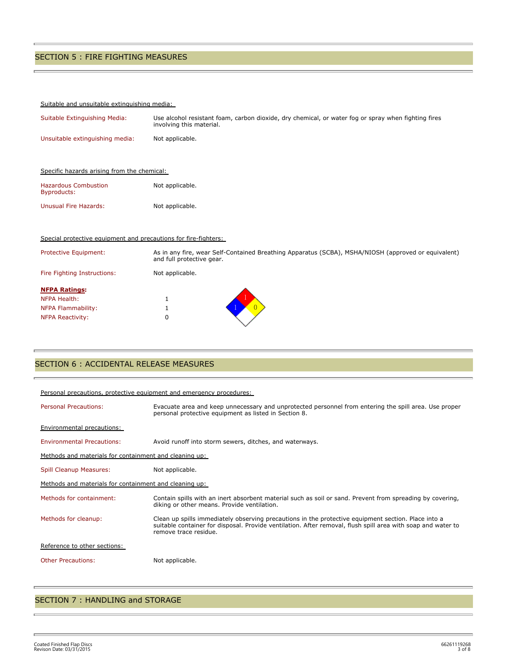## SECTION 5 : FIRE FIGHTING MEASURES

#### Suitable and unsuitable extinguishing media:

| Suitable Extinguishing Media:                                   | Use alcohol resistant foam, carbon dioxide, dry chemical, or water fog or spray when fighting fires<br>involving this material. |
|-----------------------------------------------------------------|---------------------------------------------------------------------------------------------------------------------------------|
| Unsuitable extinguishing media:                                 | Not applicable.                                                                                                                 |
|                                                                 |                                                                                                                                 |
| Specific hazards arising from the chemical:                     |                                                                                                                                 |
| <b>Hazardous Combustion</b><br>Byproducts:                      | Not applicable.                                                                                                                 |
| <b>Unusual Fire Hazards:</b>                                    | Not applicable.                                                                                                                 |
|                                                                 |                                                                                                                                 |
| Special protective equipment and precautions for fire-fighters: |                                                                                                                                 |
| <b>Protective Equipment:</b>                                    | As in any fire, wear Self-Contained Breathing Apparatus (SCBA), MSHA/NIOSH (approved or equivale                                |

e Equipment: As in any fire, wear Self-Contained Breathing Apparatus (SCBA), MSHA/NIOSH (approved or equivalent) and full protective gear. Fire Fighting Instructions: Not applicable.

| <b>NFPA Ratings:</b>    |  |
|-------------------------|--|
| NFPA Health:            |  |
| NFPA Flammability:      |  |
| <b>NFPA Reactivity:</b> |  |
|                         |  |

#### SECTION 6 : ACCIDENTAL RELEASE MEASURES

| Personal precautions, protective equipment and emergency procedures: |                                                                                                                                                                                                                                              |  |  |  |  |
|----------------------------------------------------------------------|----------------------------------------------------------------------------------------------------------------------------------------------------------------------------------------------------------------------------------------------|--|--|--|--|
| <b>Personal Precautions:</b>                                         | Evacuate area and keep unnecessary and unprotected personnel from entering the spill area. Use proper<br>personal protective equipment as listed in Section 8.                                                                               |  |  |  |  |
| Environmental precautions:                                           |                                                                                                                                                                                                                                              |  |  |  |  |
| <b>Environmental Precautions:</b>                                    | Avoid runoff into storm sewers, ditches, and waterways.                                                                                                                                                                                      |  |  |  |  |
| Methods and materials for containment and cleaning up:               |                                                                                                                                                                                                                                              |  |  |  |  |
| <b>Spill Cleanup Measures:</b>                                       | Not applicable.                                                                                                                                                                                                                              |  |  |  |  |
| Methods and materials for containment and cleaning up:               |                                                                                                                                                                                                                                              |  |  |  |  |
| Methods for containment:                                             | Contain spills with an inert absorbent material such as soil or sand. Prevent from spreading by covering,<br>diking or other means. Provide ventilation.                                                                                     |  |  |  |  |
| Methods for cleanup:                                                 | Clean up spills immediately observing precautions in the protective equipment section. Place into a<br>suitable container for disposal. Provide ventilation. After removal, flush spill area with soap and water to<br>remove trace residue. |  |  |  |  |
| Reference to other sections:                                         |                                                                                                                                                                                                                                              |  |  |  |  |
| <b>Other Precautions:</b>                                            | Not applicable.                                                                                                                                                                                                                              |  |  |  |  |
|                                                                      |                                                                                                                                                                                                                                              |  |  |  |  |

## SECTION 7 : HANDLING and STORAGE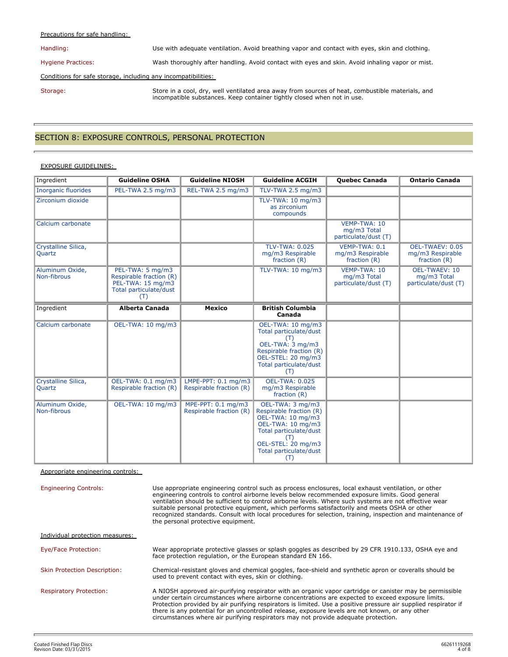#### Precautions for safe handling:

Handling: Use with adequate ventilation. Avoid breathing vapor and contact with eyes, skin and clothing.

Hygiene Practices: Wash thoroughly after handling. Avoid contact with eyes and skin. Avoid inhaling vapor or mist.

#### Conditions for safe storage, including any incompatibilities:

Storage: Store in a cool, dry, well ventilated area away from sources of heat, combustible materials, and incompatible substances. Keep container tightly closed when not in use.

#### SECTION 8: EXPOSURE CONTROLS, PERSONAL PROTECTION

#### EXPOSURE GUIDELINES:

| Ingredient                     | <b>Guideline OSHA</b>                                                                             | <b>Guideline NIOSH</b>                           | <b>Guideline ACGIH</b>                                                                                                                                                        | <b>Quebec Canada</b>                                | <b>Ontario Canada</b>                                       |
|--------------------------------|---------------------------------------------------------------------------------------------------|--------------------------------------------------|-------------------------------------------------------------------------------------------------------------------------------------------------------------------------------|-----------------------------------------------------|-------------------------------------------------------------|
| <b>Inorganic fluorides</b>     | PEL-TWA 2.5 mg/m3                                                                                 | REL-TWA 2.5 mg/m3                                | TLV-TWA 2.5 mg/m3                                                                                                                                                             |                                                     |                                                             |
| Zirconium dioxide              |                                                                                                   |                                                  | TLV-TWA: 10 mg/m3<br>as zirconium<br>compounds                                                                                                                                |                                                     |                                                             |
| Calcium carbonate              |                                                                                                   |                                                  |                                                                                                                                                                               | VEMP-TWA: 10<br>mg/m3 Total<br>particulate/dust (T) |                                                             |
| Crystalline Silica,<br>Quartz  |                                                                                                   |                                                  | <b>TLV-TWA: 0.025</b><br>mg/m3 Respirable<br>fraction $(R)$                                                                                                                   | VEMP-TWA: 0.1<br>mg/m3 Respirable<br>fraction (R)   | OEL-TWAEV: 0.05<br>mg/m3 Respirable<br>fraction $(R)$       |
| Aluminum Oxide,<br>Non-fibrous | PEL-TWA: 5 mg/m3<br>Respirable fraction (R)<br>PEL-TWA: 15 mg/m3<br>Total particulate/dust<br>(T) |                                                  | TLV-TWA: 10 mg/m3                                                                                                                                                             | VEMP-TWA: 10<br>mg/m3 Total<br>particulate/dust (T) | <b>OEL-TWAEV: 10</b><br>mg/m3 Total<br>particulate/dust (T) |
| Ingredient                     | <b>Alberta Canada</b>                                                                             | Mexico                                           | <b>British Columbia</b><br>Canada                                                                                                                                             |                                                     |                                                             |
| Calcium carbonate              | OEL-TWA: 10 mg/m3                                                                                 |                                                  | OEL-TWA: 10 mg/m3<br>Total particulate/dust<br>(T)<br>OEL-TWA: 3 mg/m3<br>Respirable fraction (R)<br>OEL-STEL: 20 mg/m3<br>Total particulate/dust<br>(T)                      |                                                     |                                                             |
| Crystalline Silica,<br>Quartz  | OEL-TWA: 0.1 mg/m3<br>Respirable fraction (R)                                                     | LMPE-PPT: $0.1$ mg/m3<br>Respirable fraction (R) | <b>OEL-TWA: 0.025</b><br>mg/m3 Respirable<br>fraction $(R)$                                                                                                                   |                                                     |                                                             |
| Aluminum Oxide,<br>Non-fibrous | OEL-TWA: 10 mg/m3                                                                                 | MPE-PPT: 0.1 mg/m3<br>Respirable fraction (R)    | OEL-TWA: 3 mg/m3<br>Respirable fraction (R)<br>OEL-TWA: 10 mg/m3<br>OEL-TWA: 10 mg/m3<br>Total particulate/dust<br>(T)<br>OEL-STEL: 20 mg/m3<br>Total particulate/dust<br>(T) |                                                     |                                                             |

Appropriate engineering controls:

Engineering Controls: Use appropriate engineering control such as process enclosures, local exhaust ventilation, or other engineering controls to control airborne levels below recommended exposure limits. Good general ventilation should be sufficient to control airborne levels. Where such systems are not effective wear suitable personal protective equipment, which performs satisfactorily and meets OSHA or other recognized standards. Consult with local procedures for selection, training, inspection and maintenance of the personal protective equipment. Individual protection measures:

Eye/Face Protection: Wear appropriate protective glasses or splash goggles as described by 29 CFR 1910.133, OSHA eye and face protection regulation, or the European standard EN 166.

Skin Protection Description: Chemical-resistant gloves and chemical goggles, face-shield and synthetic apron or coveralls should be used to prevent contact with eyes, skin or clothing.

Respiratory Protection: A NIOSH approved air-purifying respirator with an organic vapor cartridge or canister may be permissible under certain circumstances where airborne concentrations are expected to exceed exposure limits. Protection provided by air purifying respirators is limited. Use a positive pressure air supplied respirator if there is any potential for an uncontrolled release, exposure levels are not known, or any other circumstances where air purifying respirators may not provide adequate protection.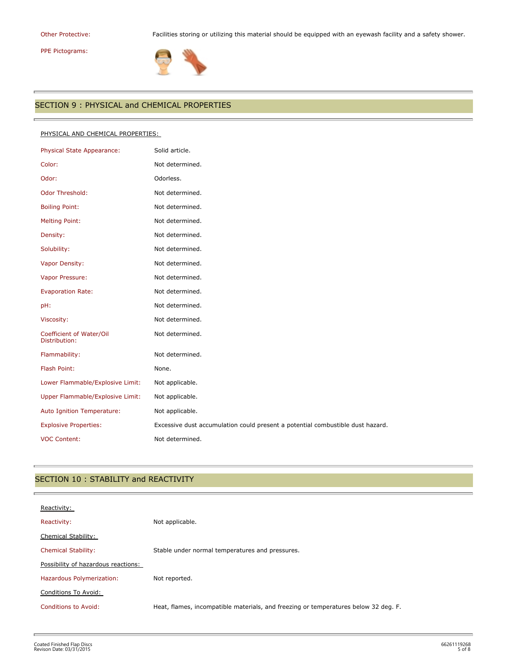# PPE Pictograms:

r.

Other Protective: Facilities storing or utilizing this material should be equipped with an eyewash facility and a safety shower.



## SECTION 9 : PHYSICAL and CHEMICAL PROPERTIES

#### PHYSICAL AND CHEMICAL PROPERTIES:

| Physical State Appearance:                | Solid article.                                                                 |
|-------------------------------------------|--------------------------------------------------------------------------------|
| Color:                                    | Not determined.                                                                |
| Odor:                                     | Odorless.                                                                      |
| <b>Odor Threshold:</b>                    | Not determined.                                                                |
| <b>Boiling Point:</b>                     | Not determined.                                                                |
| <b>Melting Point:</b>                     | Not determined.                                                                |
| Density:                                  | Not determined.                                                                |
| Solubility:                               | Not determined.                                                                |
| Vapor Density:                            | Not determined.                                                                |
| Vapor Pressure:                           | Not determined.                                                                |
| <b>Evaporation Rate:</b>                  | Not determined.                                                                |
| pH:                                       | Not determined.                                                                |
| Viscosity:                                | Not determined.                                                                |
| Coefficient of Water/Oil<br>Distribution: | Not determined.                                                                |
| Flammability:                             | Not determined.                                                                |
| Flash Point:                              | None.                                                                          |
| Lower Flammable/Explosive Limit:          | Not applicable.                                                                |
| Upper Flammable/Explosive Limit:          | Not applicable.                                                                |
| Auto Ignition Temperature:                | Not applicable.                                                                |
| <b>Explosive Properties:</b>              | Excessive dust accumulation could present a potential combustible dust hazard. |
| <b>VOC Content:</b>                       | Not determined.                                                                |

## SECTION 10 : STABILITY and REACTIVITY

| Reactivity:                         |                                                                                     |
|-------------------------------------|-------------------------------------------------------------------------------------|
| Reactivity:                         | Not applicable.                                                                     |
| Chemical Stability:                 |                                                                                     |
| <b>Chemical Stability:</b>          | Stable under normal temperatures and pressures.                                     |
| Possibility of hazardous reactions: |                                                                                     |
| Hazardous Polymerization:           | Not reported.                                                                       |
| Conditions To Avoid:                |                                                                                     |
| Conditions to Avoid:                | Heat, flames, incompatible materials, and freezing or temperatures below 32 deg. F. |
|                                     |                                                                                     |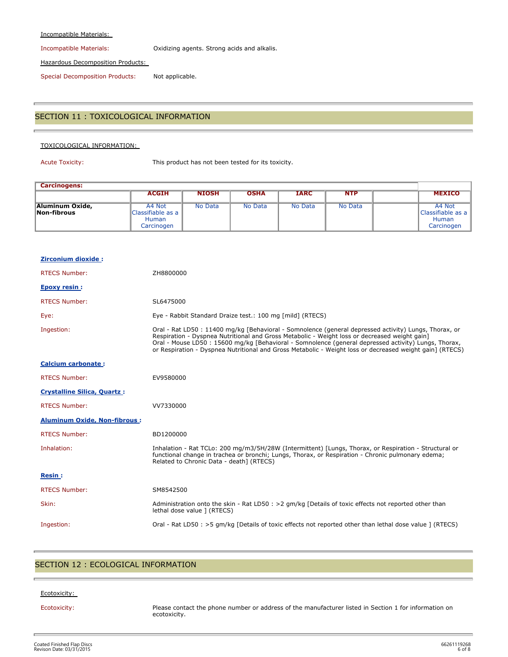#### Incompatible Materials:

Incompatible Materials: Oxidizing agents. Strong acids and alkalis.

Hazardous Decomposition Products:

Special Decomposition Products: Not applicable.

#### SECTION 11 : TOXICOLOGICAL INFORMATION

#### TOXICOLOGICAL INFORMATION:

Acute Toxicity: This product has not been tested for its toxicity.

| <b>Carcinogens:</b>            |                                                           |              |             |             |            |                                                           |
|--------------------------------|-----------------------------------------------------------|--------------|-------------|-------------|------------|-----------------------------------------------------------|
|                                | <b>ACGIH</b>                                              | <b>NIOSH</b> | <b>OSHA</b> | <b>IARC</b> | <b>NTP</b> | <b>MEXICO</b>                                             |
| Aluminum Oxide,<br>Non-fibrous | A4 Not<br>Classifiable as a<br><b>Human</b><br>Carcinogen | No Data      | No Data     | No Data     | No Data    | A4 Not<br>Classifiable as a<br><b>Human</b><br>Carcinogen |

| <b>Zirconium dioxide:</b>           |                                                                                                                                                                                                                                                                                                                                                                                                                            |
|-------------------------------------|----------------------------------------------------------------------------------------------------------------------------------------------------------------------------------------------------------------------------------------------------------------------------------------------------------------------------------------------------------------------------------------------------------------------------|
| <b>RTECS Number:</b>                | ZH8800000                                                                                                                                                                                                                                                                                                                                                                                                                  |
| <b>Epoxy resin:</b>                 |                                                                                                                                                                                                                                                                                                                                                                                                                            |
| <b>RTECS Number:</b>                | SL6475000                                                                                                                                                                                                                                                                                                                                                                                                                  |
| Eye:                                | Eye - Rabbit Standard Draize test.: 100 mg [mild] (RTECS)                                                                                                                                                                                                                                                                                                                                                                  |
| Ingestion:                          | Oral - Rat LD50 : 11400 mg/kg [Behavioral - Somnolence (general depressed activity) Lungs, Thorax, or<br>Respiration - Dyspnea Nutritional and Gross Metabolic - Weight loss or decreased weight gain]<br>Oral - Mouse LD50 : 15600 mg/kg [Behavioral - Somnolence (general depressed activity) Lungs, Thorax,<br>or Respiration - Dyspnea Nutritional and Gross Metabolic - Weight loss or decreased weight gain] (RTECS) |
| <b>Calcium carbonate:</b>           |                                                                                                                                                                                                                                                                                                                                                                                                                            |
| <b>RTECS Number:</b>                | EV9580000                                                                                                                                                                                                                                                                                                                                                                                                                  |
| <b>Crystalline Silica, Quartz:</b>  |                                                                                                                                                                                                                                                                                                                                                                                                                            |
| <b>RTECS Number:</b>                | VV7330000                                                                                                                                                                                                                                                                                                                                                                                                                  |
| <b>Aluminum Oxide, Non-fibrous:</b> |                                                                                                                                                                                                                                                                                                                                                                                                                            |
| <b>RTECS Number:</b>                | BD1200000                                                                                                                                                                                                                                                                                                                                                                                                                  |
| Inhalation:                         | Inhalation - Rat TCLo: 200 mg/m3/5H/28W (Intermittent) [Lungs, Thorax, or Respiration - Structural or<br>functional change in trachea or bronchi; Lungs, Thorax, or Respiration - Chronic pulmonary edema;<br>Related to Chronic Data - death] (RTECS)                                                                                                                                                                     |
| <b>Resin:</b>                       |                                                                                                                                                                                                                                                                                                                                                                                                                            |
| <b>RTECS Number:</b>                | SM8542500                                                                                                                                                                                                                                                                                                                                                                                                                  |
| Skin:                               | Administration onto the skin - Rat LD50 : >2 gm/kg [Details of toxic effects not reported other than<br>lethal dose value ] (RTECS)                                                                                                                                                                                                                                                                                        |
| Ingestion:                          | Oral - Rat LD50 : >5 qm/kg [Details of toxic effects not reported other than lethal dose value ] (RTECS)                                                                                                                                                                                                                                                                                                                   |

### SECTION 12 : ECOLOGICAL INFORMATION

#### Ecotoxicity:

Ecotoxicity: Please contact the phone number or address of the manufacturer listed in Section 1 for information on ecotoxicity.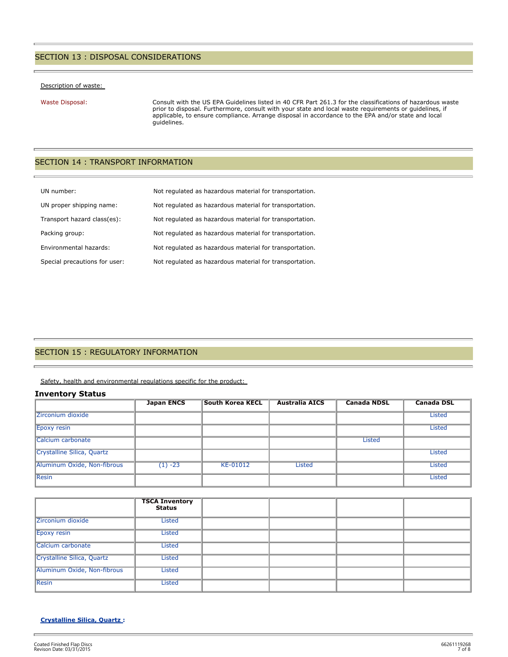## SECTION 13 : DISPOSAL CONSIDERATIONS

#### Description of waste:

Waste Disposal: Consult with the US EPA Guidelines listed in 40 CFR Part 261.3 for the classifications of hazardous waste prior to disposal. Furthermore, consult with your state and local waste requirements or guidelines, if applicable, to ensure compliance. Arrange disposal in accordance to the EPA and/or state and local guidelines.

### SECTION 14 : TRANSPORT INFORMATION

| UN number:                    | Not regulated as hazardous material for transportation. |
|-------------------------------|---------------------------------------------------------|
| UN proper shipping name:      | Not regulated as hazardous material for transportation. |
| Transport hazard class(es):   | Not regulated as hazardous material for transportation. |
| Packing group:                | Not regulated as hazardous material for transportation. |
| Environmental hazards:        | Not regulated as hazardous material for transportation. |
| Special precautions for user: | Not regulated as hazardous material for transportation. |

## SECTION 15 : REGULATORY INFORMATION

Safety, health and environmental regulations specific for the product:

#### **Inventory Status**

|                             | <b>Japan ENCS</b> | <b>South Korea KECL</b> | <b>Australia AICS</b> | <b>Canada NDSL</b> | <b>Canada DSL</b> |
|-----------------------------|-------------------|-------------------------|-----------------------|--------------------|-------------------|
| Zirconium dioxide           |                   |                         |                       |                    | <b>Listed</b>     |
| <b>Epoxy resin</b>          |                   |                         |                       |                    | <b>Listed</b>     |
| Calcium carbonate           |                   |                         |                       | <b>Listed</b>      |                   |
| Crystalline Silica, Quartz  |                   |                         |                       |                    | <b>Listed</b>     |
| Aluminum Oxide, Non-fibrous | $(1) -23$         | KE-01012                | Listed                |                    | <b>Listed</b>     |
| <b>Resin</b>                |                   |                         |                       |                    | <b>Listed</b>     |

|                             | <b>TSCA Inventory</b><br>Status |  |  |
|-----------------------------|---------------------------------|--|--|
| Zirconium dioxide           | Listed                          |  |  |
| Epoxy resin                 | Listed                          |  |  |
| Calcium carbonate           | Listed                          |  |  |
| Crystalline Silica, Quartz  | Listed                          |  |  |
| Aluminum Oxide, Non-fibrous | Listed                          |  |  |
| Resin                       | <b>Listed</b>                   |  |  |

#### **Crystalline Silica, Quartz :**